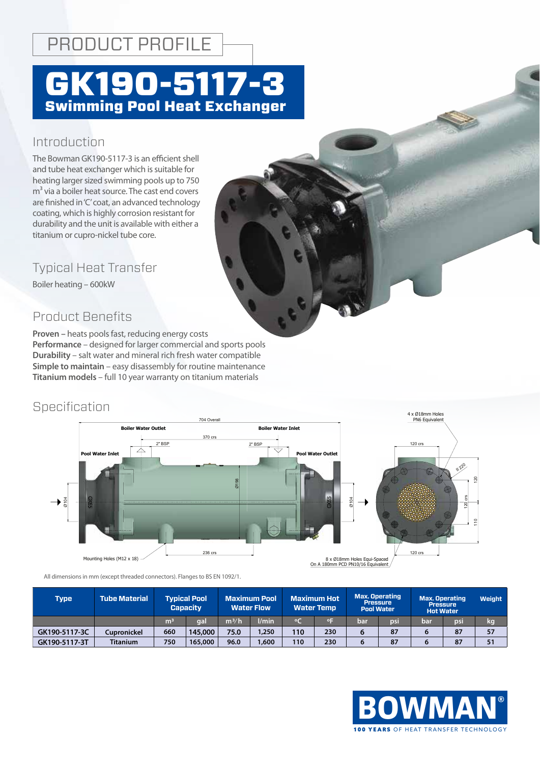## PRODUCT PROFILE

# GK190-5117-3 Swimming Pool Heat Exchanger

### Introduction

The Bowman GK190-5117-3 is an efficient shell and tube heat exchanger which is suitable for heating larger sized swimming pools up to 750  $m<sup>3</sup>$  via a boiler heat source. The cast end covers are finished in 'C' coat, an advanced technology coating, which is highly corrosion resistant for durability and the unit is available with either a titanium or cupro-nickel tube core.

Typical Heat Transfer

Boiler heating – 600kW

### Product Benefits

**Proven –** heats pools fast, reducing energy costs **Performance** – designed for larger commercial and sports pools **Durability** - salt water and mineral rich fresh water compatible **Simple to maintain** – easy disassembly for routine maintenance **Titanium models** – full 10 year warranty on titanium materials

### **Specification**



All dimensions in mm (except threaded connectors). Flanges to BS EN 1092/1.

| Type          | <b>Tube Material</b> | <b>Typical Pool</b><br><b>Capacity</b> |         | <b>Maximum Pool</b><br><b>Water Flow</b> |       | <b>Maximum Hot</b><br><b>Water Temp</b> |     | <b>Max. Operating</b><br><b>Pressure</b><br><b>Pool Water</b> |     | <b>Max. Operating</b><br><b>Pressure</b><br><b>Hot Water</b> |     | <b>Weight</b> |
|---------------|----------------------|----------------------------------------|---------|------------------------------------------|-------|-----------------------------------------|-----|---------------------------------------------------------------|-----|--------------------------------------------------------------|-----|---------------|
|               |                      | m <sup>3</sup>                         | aal     | m <sup>3</sup> /h                        | l/min | $\circ$                                 | ٥F  | bar                                                           | psi | bar                                                          | psi | kg            |
| GK190-5117-3C | Cupronickel          | 660                                    | 145,000 | 75.0                                     | 1,250 | 110                                     | 230 | 6                                                             | 87  |                                                              | 87  | 57            |
| GK190-5117-3T | <b>Titanium</b>      | 750                                    | 165,000 | 96.0                                     | ,600  | 110                                     | 230 | 6                                                             | 87  |                                                              | 87  | 51            |